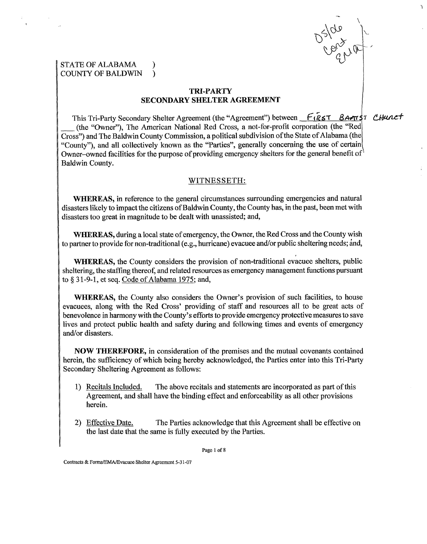# STATE OF ALABAMA ) COUNTY OF BALDWIN )

### **TRT-PARTY SECONDARY SHELTER AGREEMENT**

This Tri-Party Secondary Shelter Agreement (the "Agreement") between <u>F *(R*6T BA</u> ECONDARY SHELTER AGREEMENT<br>This Tri-Party Secondary Shelter Agreement (the "Agreement") betwee<br>the "Owner"), The American National Red Cross, a not-for-profit<br>Cross") and The Baldwin County Commission, a political subdivis Cross") and The Baldwin County Commission, a political subdivision of the State of Alabama (the "County"), and all collectively known as the "Parties", generally concerning the Baldwin County. Owner-owned facilities for the purpose of providing emergency shelters for the general benefit of

#### WITNESSETH:

**WHEREAS,** in reference to the general circumstances surrounding emergencies and natural disasters likely to impact the citizens of Baldwin County, the County has, in fie past, been met with disasters too great in magnitude to be dealt with unassisted; and,

**WHEREAS,** during a local state of emergency, the Owner, the Red Cross and the County wish to partner to provide for non-traditional (e.g., hurricane) evacuee and/or public sheltering needs; and,

**WHEREAS,** the County considers the provision of non-traditional evacuee shelters, public sheltering, the staffing thereof, and related resources as emergency management functions pursuant to **\$3** 1-9-1, et seq. Code of Alabama 1975; and,

**WHEREAS,** the County also considers the Owner's provision of such facilities, to house evacuees, along with the Red Cross' providing of staff and resources all to be great acts of benevolence in harmony with the County's efforts to provide emergency protective measures to save lives and protect public health and safety during and following times and events of emergency and/or disasters.

**NOW THEREFORE, in** consideration of the premises and the mutual covenants contained herein, the sufficiency of which being hereby acknowledged, the Parties enter into this Tri-Party Secondary Sheltering Agreement as follows:

- 1) Recitals Included. The above recitals and statements are incorporated as part of this Agreement, and shall have the binding effect and enforceability as all other provisions herein.
- 2) Effective Date. The Parties acknowledge that this Agreement shall be effective on the last date that the same is fully executed by the Parties.

Page 1 of 8

Contracts & Forms/EMA/Evacuee Shelter Agreement 5-31-07

Ds/de

 $\mathbf{r}$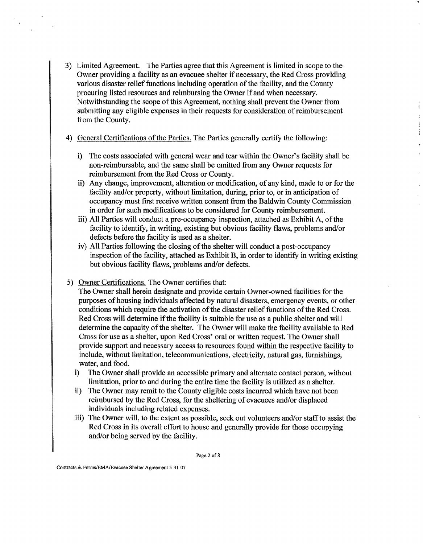**3)** Limited Agreement. The Parties agree that this Agreement is limited in scope to the Owner providing a facility as an evacuee shelter if necessary, the Red Cross providing various disaster relief functions including operation of the facility, and the County procuring listed resources and reimbursing the Owner if and when necessary. Notwithstanding the scope of this Agreement, nothing shall prevent the Owner fiom submitting any eligible expenses in their requests for consideration of reimbursement from the County.

Ä.

ì

- 4) General Certifications of the Parties. The Parties generally certify the following:
	- i) The costs associated with general wear and tear within the Owner's facility shall be non-reimbursable, and the same shall be omitted fiom any Owner requests for reimbursement fiom the Red Cross or County.
	- ii) Any change, improvement, alteration or modification, of any kind, made to or for the facility and/or property, without limitation, during, prior to, or in anticipation of occupancy must first receive written consent fiom the Baldwin County Commission in order for such modifications to be considered for County reimbursement.
	- iii) All Parties will conduct a pre-occupancy inspection, attached as Exhibit A, of the facility to identify, in writing, existing but obvious facility flaws, problems and/or defects before the facility is used as a shelter.
	- iv) All Parties following the closing of the shelter will conduct a post-occupancy inspection of the facility, attached as Exhibit B, in order to identify in writing existing but obvious facility flaws, problems and/or defects.
- 5) Owner Certifications. The Owner certifies that:

 $\Delta \sim 10$ 

The Owner shall herein designate and provide certain Owner-owned facilities for the purposes of housing individuals affected by natural disasters, emergency events, or other conditions which require the activation of the disaster relief functions of the Red Cross. Red Cross will determine if the facility is suitable for use as a public shelter and will determine the capacity of the shelter. The Owner will make the facility available to Red Cross for use as a shelter, upon Red Cross' oral or written request. The Owner shall provide support and necessary access to resources found within the respective facility to include, without limitation, telecommunications, electricity, natural gas, furnishings, water, and food.

- i) The Owner shall provide an accessible primary and alternate contact person, without limitation, prior to and during the entire time the facility is utilized as a shelter.
- ii) The Owner may remit to the County eligible costs incurred which have not been reimbursed by the Red Cross, for the sheltering of evacuees and/or displaced individuals including related expenses.
- iii) The Owner will, to the extent as possible, seek out volunteers andlor staff to assist the Red Cross in its overall effort to house and generally provide for those occupying and/or being served by the facility.

Page 2 of 8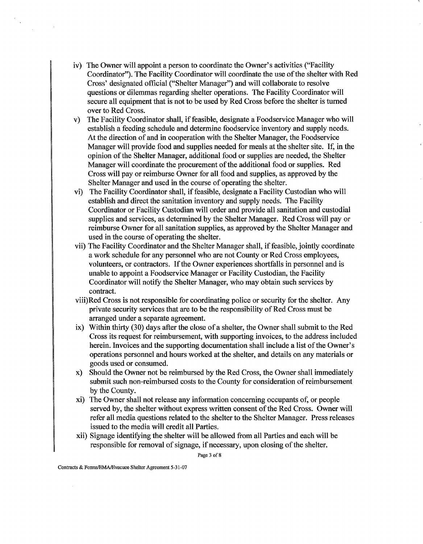- iv) The Owner will appoint a person to coordinate the Owner's activities ("Facility Coordinator"). The Facility Coordinator will coordinate the use of the shelter with Red Cross' designated official ("Shelter Manager") and will collaborate to resolve questions or dilemmas regarding shelter operations. The Facility Coordinator will secure all equipment that is not to be used by Red Cross before the shelter is turned over to Red Cross.
- v) The Facility Coordinator shall, if feasible, designate a Foodservice Manager who will establish a feeding schedule and determine foodservice inventory and supply needs. At the direction of and in cooperation with the Shelter Manager, the Foodservice Manager will provide food and supplies needed for meals at the shelter site. If, in the opinion of the Shelter Manager, additional food or supplies are needed, the Shelter Manager will coordinate the procurement of the additional food or supplies. Red Cross will pay or reimburse Owner for all food and supplies, as approved by the Shelter Manager and used in the course of operating the shelter.
- vi) The Facility Coordinator shall, if feasible, designate a Facility Custodian who will establish and direct the sanitation inventory and supply needs. The Facility Coordinator or Facility Custodian will order and provide all sanitation and custodial supplies and services, as determined by the Shelter Manager. Red Cross will pay or reimburse Owner for all sanitation supplies, as approved by the Shelter Manager and used in the course of operating the shelter.
- vii) The Facility Coordinator and the Shelter Manager shall, if feasible, jointly coordinate a work schedule for any personnel who are not County or Red Cross employees, volunteers, or contractors. If the Owner experiences shortfalls in personnel and is unable to appoint a Foodservice Manager or Facility Custodian, the Facility Coordinator will notify the Shelter Manager, who may obtain such services by contract.
- viii)Red Cross is not responsible for coordinating police or security for the shelter. Any private security services that are to be the responsibility of Red Cross must be arranged under a separate agreement.
- ix) Within thirty (30) days after the close of a shelter, the Owner shall submit to the Red Cross its request for reimbursement, with supporting invoices, to the address included herein. Invoices and the supporting documentation shall include a list of the Owner's operations personnel and hours worked at the shelter, and details on any materials or goods used or consumed.
- x) Should the Owner not be reimbursed by the Red Cross, the Owner shall immediately submit such non-reimbursed costs to the County for consideration of reimbursement by the County.
- xi) The Owner shall not release any information concerning occupants of, or people served by, the shelter without express written consent of the Red Cross. Owner will refer all media questions related to the shelter to the Shelter Manager. Press releases issued to the media will credit all Parties.
- xii) Signage identifying the shelter will be allowed fiom all Parties and each will be responsible for removal of signage, if necessary, upon closing of the shelter.

Page **3** of 8

**Contracts** & **Forms/EMA/Evacuee** Shelter Agreement 5-3 1-07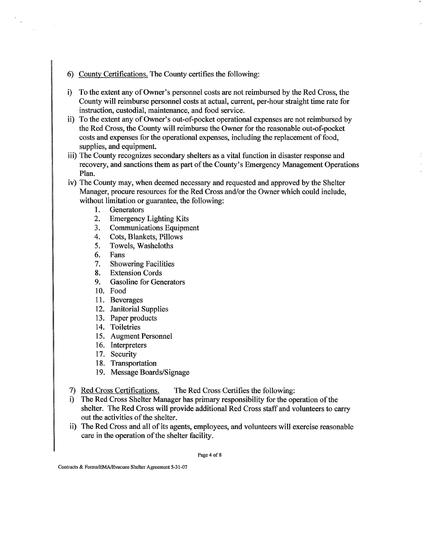- 6) County Certifications. The County certifies the following:
- i) To the extent any of Owner's personnel costs are not reimbursed by the Red Cross, the County will reimburse personnel costs at actual, current, per-hour straight time rate for instruction, custodial, maintenance, and food service.
- ii) To the extent any of Owner's out-of-pocket operational expenses are not reimbursed by the Red Cross, the County will reimburse the Owner for the reasonable out-of-pocket costs and expenses for the operational expenses, including the replacement of food, supplies, and equipment.
- iii) The County recognizes secondary shelters as a vital function in disaster response and recovery, and sanctions them as part of the County's Emergency Management Operations Plan.
- iv) The County may, when deemed necessary and requested and approved by the Shelter Manager, procure resources for the Red Cross and/or the Owner which could include, without limitation or guarantee, the following:
	- $1.$ **Generators**
	- $2.$ Emergency Lighting Kits
	- $3<sub>1</sub>$ Communications Equipment
	- 4. Cots, Blankets, Pillows
	- 5. Towels, Washcloths
	- 6. Fans
	- 7. Showering Facilities
	- 8. Extension Cords
	- 9. Gasoline for Generators
	- 10. Food
	- 11. Beverages
	- 12. Janitorial Supplies
	- 13. Paper products
	- 14. Toiletries
	- 15. Augment Personnel
	- 16. Interpreters
	- 17. Security
	- 18. Transportation
	- 19. Message Boards/Signage
- 7) Red Cross Certifications. The Red Cross Certifies the following:
- i) The Red Cross Shelter Manager has primary responsibility for the operation of the shelter. The Red Cross will provide additional Red Cross staff and volunteers to carry out the activities of the shelter.
- ii) The Red Cross and all of its agents, employees, and volunteers will exercise reasonable care in the operation of the shelter facility.

Page 4 of 8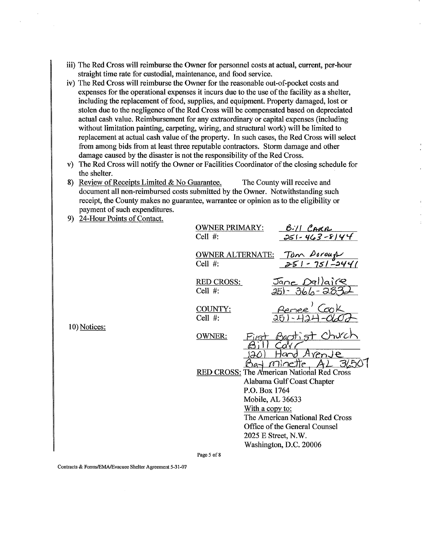- iii) The Red Cross will reimburse the Owner for personnel costs at actual, current, per-hour straight time rate for custodial, maintenance, and food service.
- iv) The Red Cross will reimburse the Owner for the reasonable out-of-pocket costs and expenses for the operational expenses it incurs due to the use of the facility as a shelter, including the replacement of food, supplies, and equipment. Property damaged, lost or stolen due to the negligence of the Red Cross will be compensated based on depreciated actual cash value. Reimbursement for any extraordinary or capital expenses (including without limitation painting, carpeting, wiring, and structural work) will be limited to replacement at actual cash value of the property. In such cases, the Red Cross will select fiom among bids fiom at least three reputable contractors. Storm damage and other damage caused by the disaster is not the responsibility of the Red Cross.
- v) The Red Cross will notify the Owner or Facilities Coordinator of the closing schedule for the shelter.
- **8)** Review of Receipts Limited & No Guarantee. The County will receive and document all non-reimbursed costs submitted by the Owner. Notwithstanding such receipt, the County makes no guarantee, warrantee or opinion as to the eligibility or payment of such expenditures.
- 9) 24-Hour Points of Contact.

10) Notices:

| Cell $#$ :                      | <b>OWNER PRIMARY:</b><br>Bill CARR<br>$251 - 463 - 8144$                                               |
|---------------------------------|--------------------------------------------------------------------------------------------------------|
| Cell $#$ :                      | <b>OWNER ALTERNATE:</b><br>Tom Dorough<br>751 - 2441                                                   |
| <b>RED CROSS:</b><br>Cell $#$ : | Jane Dallaire<br>360                                                                                   |
| COUNTY:<br>Cell $#$ :           | <u>2enee</u><br>ЭE                                                                                     |
| <b>OWNER:</b>                   | $\mathbf{C}$<br>renJe<br>H<br>Òſ                                                                       |
|                                 | 31.50<br>]i∩e′<br>I<br><b>RED CROSS: The American National Red Cross</b><br>Alabama Gulf Coast Chapter |
|                                 | P.O. Box 1764<br>Mobile, AL 36633                                                                      |
|                                 | With a copy to:<br>The American National Red Cross                                                     |
|                                 | Office of the General Counsel<br>2025 E Street, N.W.                                                   |
|                                 | Washington, D.C. 20006                                                                                 |
| Page 5 of 8                     |                                                                                                        |

**Contracts** & **FonnsIEMAlEvacuee** Shelter Agreement **5-31-07**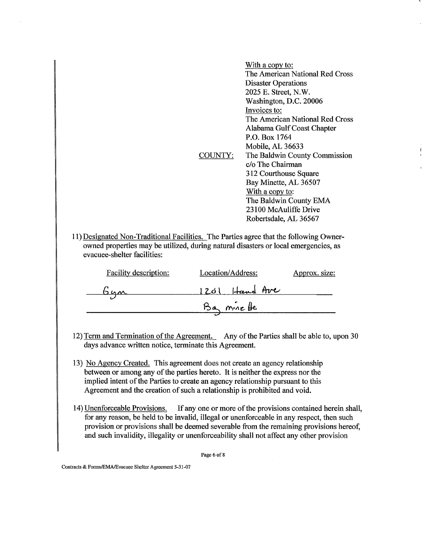|         | With a copy to:                 |
|---------|---------------------------------|
|         | The American National Red Cross |
|         | <b>Disaster Operations</b>      |
|         | 2025 E. Street, N.W.            |
|         | Washington, D.C. 20006          |
|         | Invoices to:                    |
|         | The American National Red Cross |
|         | Alabama Gulf Coast Chapter      |
|         | P.O. Box 1764                   |
|         | Mobile, AL 36633                |
| COUNTY: | The Baldwin County Commission   |
|         | c/o The Chairman                |
|         | 312 Courthouse Square           |
|         | Bay Minette, AL 36507           |
|         | With a copy to:                 |
|         | The Baldwin County EMA          |
|         | 23100 McAuliffe Drive           |
|         | Robertsdale, AL 36567           |
|         |                                 |

11) Desimated Non-Traditional Facilities. The Parties agree that the following Ownerowned properties may be utilized, during natural disasters or local emergencies, as evacuee-shelter facilities:

| <b>Facility description:</b> | Location/Address: | Approx. size: |
|------------------------------|-------------------|---------------|
| عمونا                        | 1201 Hand Ave     |               |
|                              | Ba mirelle        |               |
|                              |                   |               |

- 12) Term and Termination of the Agreement. Any of the Parties shall be able to, upon 30 days advance written notice, terminate this Agreement.
- 13) No Agency Created. This agreement does not create an agency relationship between or among any of the parties hereto. It is neither the express nor the implied intent of the Parties to create an agency relationship pursuant to this Agreement and the creation of such a relationship is prohibited and void.
- 14) Unenforceable Provisions. If any one or more of the provisions contained herein shall, for any reason, be held to be invalid, illegal or unenforceable in any respect, then such provision or provisions shall be deemed severable fiom the remaining provisions hereof, and such invalidity, illegality or unenforceability shall not affect any other provision

Page 6 of **8** 

Contracts & Forms/EMA/Evacuee Shelter Agreement 5-31-07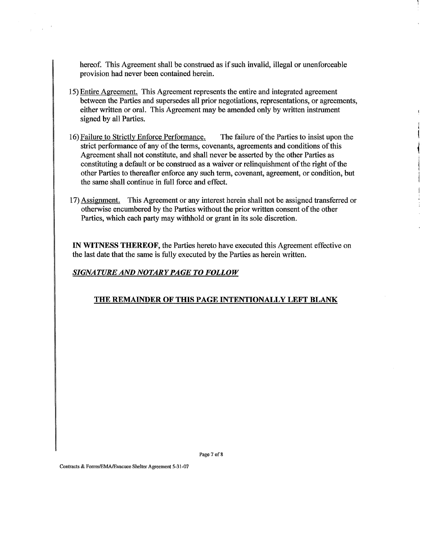hereof. This Agreement shall be construed as if such invalid, illegal or unenforceable provision had never been contained herein.

- 15) Entire Agreement. This Agreement represents the entire and integrated agreement between the Parties and supersedes all prior negotiations, representations, or agreements, either written or oral. This Agreement may be amended only by written instrument signed by all Parties.
- 16) Failure to Strictly Enforce Performance. The failure of the Parties to insist upon the strict performance of any of the terms, covenants, agreements and conditions of this Agreement shall not constitute, and shall never be asserted by the other Parties as constituting a default or be construed as a waiver or relinquishment of the right of the other Parties to thereafter enforce any such term, covenant, agreement, or condition, but the same shall continue in full force and effect.
- 17) Assiment. This Agreement or any interest herein shall not be assigned transferred or otherwise encumbered by the Parties without the prior written consent of the other Parties, which each party may withhold or grant in its sole discretion.

IN WITNESS THEREOF, the Parties hereto have executed this Agreement effective on the last date that the same is fully executed by the Parties as herein written.

## *SIGNATURE AND NOTARY PAGE TO FOLLOW*

## THE REMAINDER OF THIS PAGE INTENTIONALLY LEFT BLANK

**Contracts** & **FormslEMAlEvacuee Shelter Agreement 5-31-07**